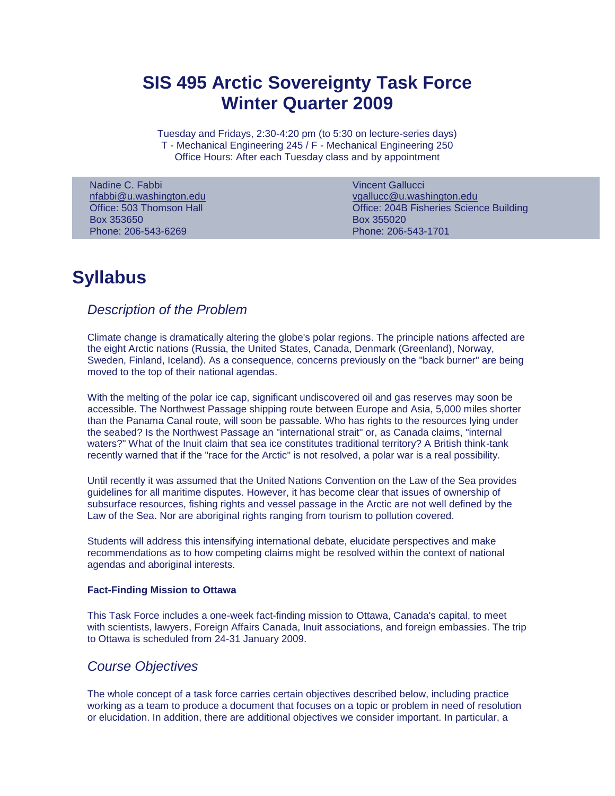# **SIS 495 Arctic Sovereignty Task Force Winter Quarter 2009**

Tuesday and Fridays, 2:30-4:20 pm (to 5:30 on lecture-series days) T - Mechanical Engineering 245 / F - Mechanical Engineering 250 Office Hours: After each Tuesday class and by appointment

Nadine C. Fabbi [nfabbi@u.washington.edu](mailto:nfabbi@u.washington.edu) Office: 503 Thomson Hall Box 353650 Phone: 206-543-6269

Vincent Gallucci [vgallucc@u.washington.edu](mailto:vgallucc@u.washington.edu) Office: 204B Fisheries Science Building Box 355020 Phone: 206-543-1701

# **Syllabus**

# *Description of the Problem*

Climate change is dramatically altering the globe's polar regions. The principle nations affected are the eight Arctic nations (Russia, the United States, Canada, Denmark (Greenland), Norway, Sweden, Finland, Iceland). As a consequence, concerns previously on the "back burner" are being moved to the top of their national agendas.

With the melting of the polar ice cap, significant undiscovered oil and gas reserves may soon be accessible. The Northwest Passage shipping route between Europe and Asia, 5,000 miles shorter than the Panama Canal route, will soon be passable. Who has rights to the resources lying under the seabed? Is the Northwest Passage an "international strait" or, as Canada claims, "internal waters?" What of the Inuit claim that sea ice constitutes traditional territory? A British think-tank recently warned that if the "race for the Arctic" is not resolved, a polar war is a real possibility.

Until recently it was assumed that the United Nations Convention on the Law of the Sea provides guidelines for all maritime disputes. However, it has become clear that issues of ownership of subsurface resources, fishing rights and vessel passage in the Arctic are not well defined by the Law of the Sea. Nor are aboriginal rights ranging from tourism to pollution covered.

Students will address this intensifying international debate, elucidate perspectives and make recommendations as to how competing claims might be resolved within the context of national agendas and aboriginal interests.

# **Fact-Finding Mission to Ottawa**

This Task Force includes a one-week fact-finding mission to Ottawa, Canada's capital, to meet with scientists, lawyers, Foreign Affairs Canada, Inuit associations, and foreign embassies. The trip to Ottawa is scheduled from 24-31 January 2009.

# *Course Objectives*

The whole concept of a task force carries certain objectives described below, including practice working as a team to produce a document that focuses on a topic or problem in need of resolution or elucidation. In addition, there are additional objectives we consider important. In particular, a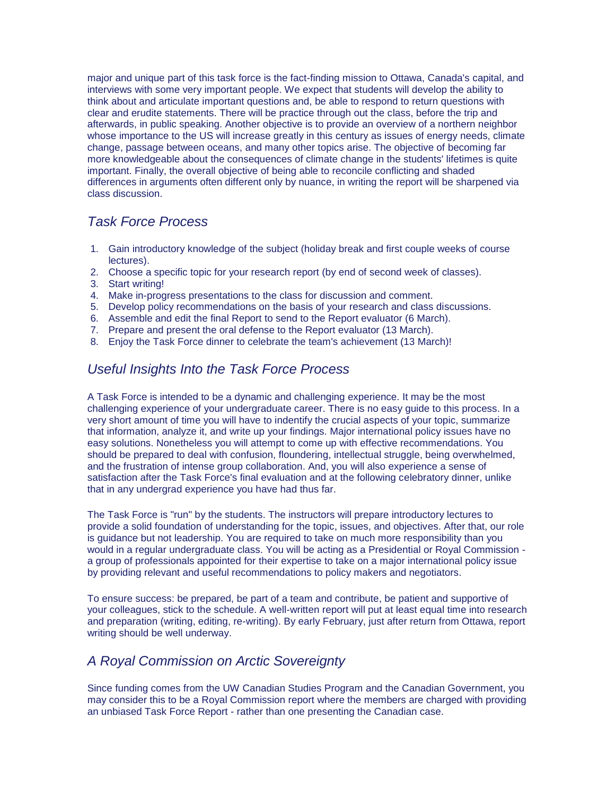major and unique part of this task force is the fact-finding mission to Ottawa, Canada's capital, and interviews with some very important people. We expect that students will develop the ability to think about and articulate important questions and, be able to respond to return questions with clear and erudite statements. There will be practice through out the class, before the trip and afterwards, in public speaking. Another objective is to provide an overview of a northern neighbor whose importance to the US will increase greatly in this century as issues of energy needs, climate change, passage between oceans, and many other topics arise. The objective of becoming far more knowledgeable about the consequences of climate change in the students' lifetimes is quite important. Finally, the overall objective of being able to reconcile conflicting and shaded differences in arguments often different only by nuance, in writing the report will be sharpened via class discussion.

# *Task Force Process*

- 1. Gain introductory knowledge of the subject (holiday break and first couple weeks of course lectures).
- 2. Choose a specific topic for your research report (by end of second week of classes).
- 3. Start writing!
- 4. Make in-progress presentations to the class for discussion and comment.
- 5. Develop policy recommendations on the basis of your research and class discussions.
- 6. Assemble and edit the final Report to send to the Report evaluator (6 March).
- 7. Prepare and present the oral defense to the Report evaluator (13 March).
- 8. Enjoy the Task Force dinner to celebrate the team's achievement (13 March)!

# *Useful Insights Into the Task Force Process*

A Task Force is intended to be a dynamic and challenging experience. It may be the most challenging experience of your undergraduate career. There is no easy guide to this process. In a very short amount of time you will have to indentify the crucial aspects of your topic, summarize that information, analyze it, and write up your findings. Major international policy issues have no easy solutions. Nonetheless you will attempt to come up with effective recommendations. You should be prepared to deal with confusion, floundering, intellectual struggle, being overwhelmed, and the frustration of intense group collaboration. And, you will also experience a sense of satisfaction after the Task Force's final evaluation and at the following celebratory dinner, unlike that in any undergrad experience you have had thus far.

The Task Force is "run" by the students. The instructors will prepare introductory lectures to provide a solid foundation of understanding for the topic, issues, and objectives. After that, our role is guidance but not leadership. You are required to take on much more responsibility than you would in a regular undergraduate class. You will be acting as a Presidential or Royal Commission a group of professionals appointed for their expertise to take on a major international policy issue by providing relevant and useful recommendations to policy makers and negotiators.

To ensure success: be prepared, be part of a team and contribute, be patient and supportive of your colleagues, stick to the schedule. A well-written report will put at least equal time into research and preparation (writing, editing, re-writing). By early February, just after return from Ottawa, report writing should be well underway.

# *A Royal Commission on Arctic Sovereignty*

Since funding comes from the UW Canadian Studies Program and the Canadian Government, you may consider this to be a Royal Commission report where the members are charged with providing an unbiased Task Force Report - rather than one presenting the Canadian case.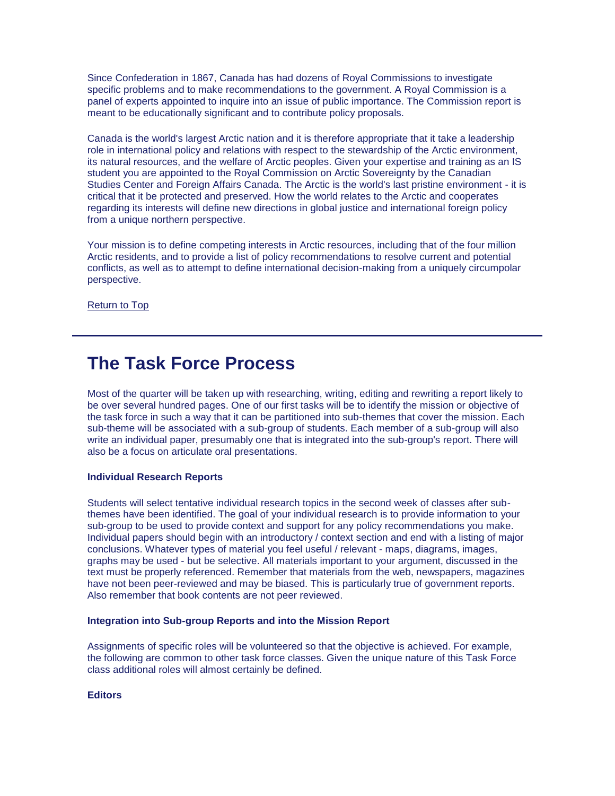Since Confederation in 1867, Canada has had dozens of Royal Commissions to investigate specific problems and to make recommendations to the government. A Royal Commission is a panel of experts appointed to inquire into an issue of public importance. The Commission report is meant to be educationally significant and to contribute policy proposals.

Canada is the world's largest Arctic nation and it is therefore appropriate that it take a leadership role in international policy and relations with respect to the stewardship of the Arctic environment, its natural resources, and the welfare of Arctic peoples. Given your expertise and training as an IS student you are appointed to the Royal Commission on Arctic Sovereignty by the Canadian Studies Center and Foreign Affairs Canada. The Arctic is the world's last pristine environment - it is critical that it be protected and preserved. How the world relates to the Arctic and cooperates regarding its interests will define new directions in global justice and international foreign policy from a unique northern perspective.

Your mission is to define competing interests in Arctic resources, including that of the four million Arctic residents, and to provide a list of policy recommendations to resolve current and potential conflicts, as well as to attempt to define international decision-making from a uniquely circumpolar perspective.

[Return to Top](https://jsis.washington.edu/archive/canada/file/archive/taskforce09/top)

# **The Task Force Process**

Most of the quarter will be taken up with researching, writing, editing and rewriting a report likely to be over several hundred pages. One of our first tasks will be to identify the mission or objective of the task force in such a way that it can be partitioned into sub-themes that cover the mission. Each sub-theme will be associated with a sub-group of students. Each member of a sub-group will also write an individual paper, presumably one that is integrated into the sub-group's report. There will also be a focus on articulate oral presentations.

# **Individual Research Reports**

Students will select tentative individual research topics in the second week of classes after subthemes have been identified. The goal of your individual research is to provide information to your sub-group to be used to provide context and support for any policy recommendations you make. Individual papers should begin with an introductory / context section and end with a listing of major conclusions. Whatever types of material you feel useful / relevant - maps, diagrams, images, graphs may be used - but be selective. All materials important to your argument, discussed in the text must be properly referenced. Remember that materials from the web, newspapers, magazines have not been peer-reviewed and may be biased. This is particularly true of government reports. Also remember that book contents are not peer reviewed.

#### **Integration into Sub-group Reports and into the Mission Report**

Assignments of specific roles will be volunteered so that the objective is achieved. For example, the following are common to other task force classes. Given the unique nature of this Task Force class additional roles will almost certainly be defined.

**Editors**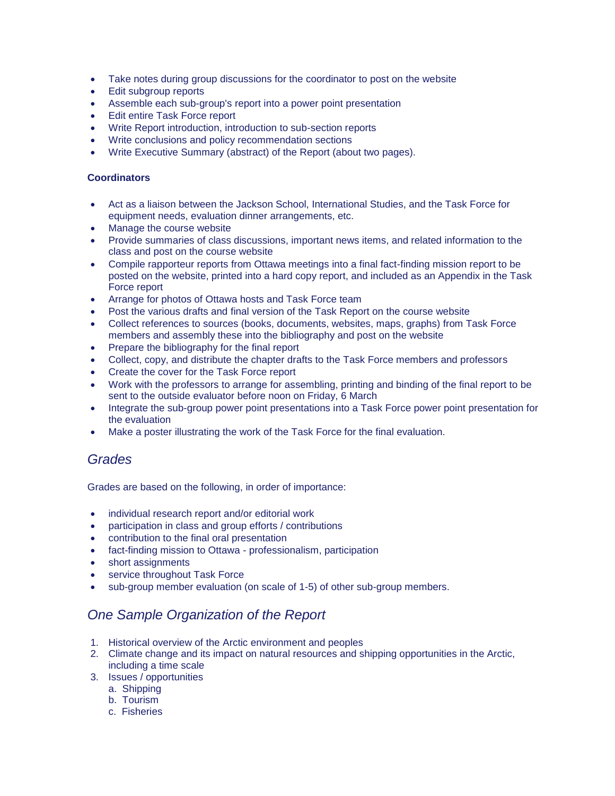- Take notes during group discussions for the coordinator to post on the website
- Edit subgroup reports
- Assemble each sub-group's report into a power point presentation
- Edit entire Task Force report
- Write Report introduction, introduction to sub-section reports
- Write conclusions and policy recommendation sections
- Write Executive Summary (abstract) of the Report (about two pages).

# **Coordinators**

- Act as a liaison between the Jackson School, International Studies, and the Task Force for equipment needs, evaluation dinner arrangements, etc.
- Manage the course website
- Provide summaries of class discussions, important news items, and related information to the class and post on the course website
- Compile rapporteur reports from Ottawa meetings into a final fact-finding mission report to be posted on the website, printed into a hard copy report, and included as an Appendix in the Task Force report
- Arrange for photos of Ottawa hosts and Task Force team
- Post the various drafts and final version of the Task Report on the course website
- Collect references to sources (books, documents, websites, maps, graphs) from Task Force members and assembly these into the bibliography and post on the website
- Prepare the bibliography for the final report
- Collect, copy, and distribute the chapter drafts to the Task Force members and professors
- Create the cover for the Task Force report
- Work with the professors to arrange for assembling, printing and binding of the final report to be sent to the outside evaluator before noon on Friday, 6 March
- Integrate the sub-group power point presentations into a Task Force power point presentation for the evaluation
- Make a poster illustrating the work of the Task Force for the final evaluation.

# *Grades*

Grades are based on the following, in order of importance:

- individual research report and/or editorial work
- participation in class and group efforts / contributions
- contribution to the final oral presentation
- fact-finding mission to Ottawa professionalism, participation
- short assignments
- service throughout Task Force
- sub-group member evaluation (on scale of 1-5) of other sub-group members.

# *One Sample Organization of the Report*

- 1. Historical overview of the Arctic environment and peoples
- 2. Climate change and its impact on natural resources and shipping opportunities in the Arctic, including a time scale
- 3. Issues / opportunities
	- a. Shipping
	- b. Tourism
	- c. Fisheries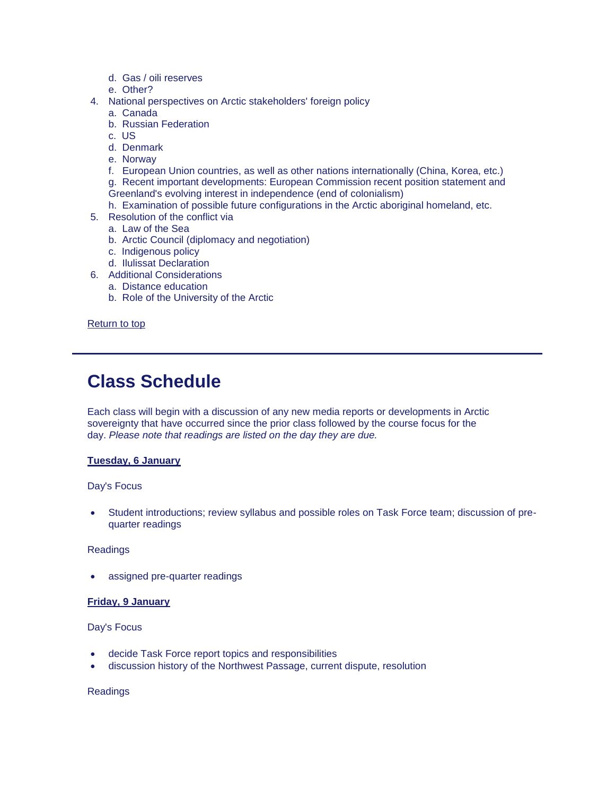- d. Gas / oili reserves
- e. Other?
- 4. National perspectives on Arctic stakeholders' foreign policy
	- a. Canada
	- b. Russian Federation
	- c. US
	- d. Denmark
	- e. Norway
	- f. European Union countries, as well as other nations internationally (China, Korea, etc.)
	- g. Recent important developments: European Commission recent position statement and Greenland's evolving interest in independence (end of colonialism)
	- h. Examination of possible future configurations in the Arctic aboriginal homeland, etc.
- 5. Resolution of the conflict via
	- a. Law of the Sea
	- b. Arctic Council (diplomacy and negotiation)
	- c. Indigenous policy
	- d. Ilulissat Declaration
- 6. Additional Considerations
	- a. Distance education
	- b. Role of the University of the Arctic

[Return to top](https://jsis.washington.edu/archive/canada/file/archive/taskforce09/top)

# **Class Schedule**

Each class will begin with a discussion of any new media reports or developments in Arctic sovereignty that have occurred since the prior class followed by the course focus for the day. *Please note that readings are listed on the day they are due.*

# **Tuesday, 6 January**

# Day's Focus

 Student introductions; review syllabus and possible roles on Task Force team; discussion of prequarter readings

Readings

assigned pre-quarter readings

# **Friday, 9 January**

# Day's Focus

- decide Task Force report topics and responsibilities
- discussion history of the Northwest Passage, current dispute, resolution

Readings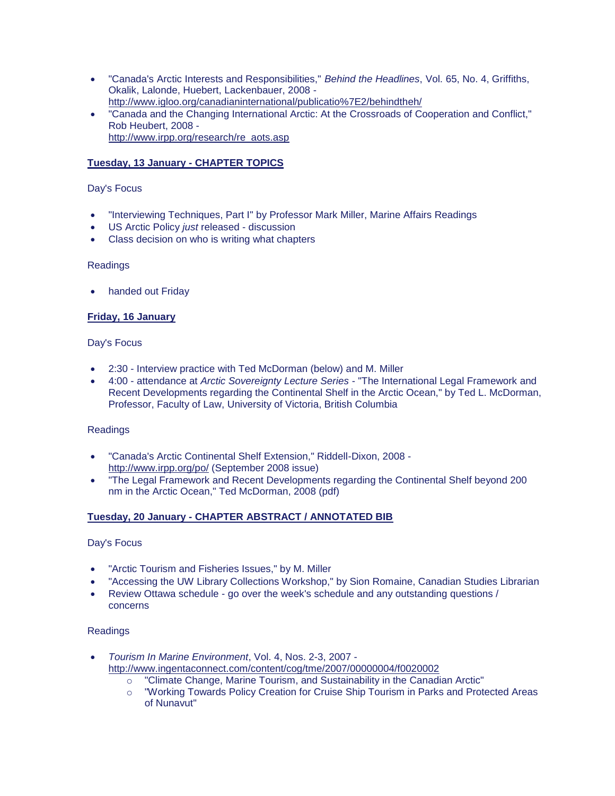- "Canada's Arctic Interests and Responsibilities," *Behind the Headlines*, Vol. 65, No. 4, Griffiths, Okalik, Lalonde, Huebert, Lackenbauer, 2008 [http://www.igloo.org/canadianinternational/publicatio%7E2/behindtheh/](http://www.igloo.org/canadianinternational/publicatio~2/behindtheh)
- "Canada and the Changing International Arctic: At the Crossroads of Cooperation and Conflict," Rob Heubert, 2008 [http://www.irpp.org/research/re\\_aots.asp](http://www.irpp.org/research/re_aots.asp)

# **Tuesday, 13 January - CHAPTER TOPICS**

# Day's Focus

- "Interviewing Techniques, Part I" by Professor Mark Miller, Marine Affairs Readings
- US Arctic Policy *just* released discussion
- Class decision on who is writing what chapters

# **Readings**

handed out Friday

# **Friday, 16 January**

# Day's Focus

- 2:30 Interview practice with Ted McDorman (below) and M. Miller
- 4:00 attendance at *Arctic Sovereignty Lecture Series* "The International Legal Framework and Recent Developments regarding the Continental Shelf in the Arctic Ocean," by Ted L. McDorman, Professor, Faculty of Law, University of Victoria, British Columbia

# Readings

- "Canada's Arctic Continental Shelf Extension," Riddell-Dixon, 2008 <http://www.irpp.org/po/> (September 2008 issue)
- "The Legal Framework and Recent Developments regarding the Continental Shelf beyond 200 nm in the Arctic Ocean," Ted McDorman, 2008 (pdf)

# **Tuesday, 20 January - CHAPTER ABSTRACT / ANNOTATED BIB**

# Day's Focus

- "Arctic Tourism and Fisheries Issues," by M. Miller
- "Accessing the UW Library Collections Workshop," by Sion Romaine, Canadian Studies Librarian
- Review Ottawa schedule go over the week's schedule and any outstanding questions / concerns

# Readings

- *Tourism In Marine Environment*, Vol. 4, Nos. 2-3, 2007 <http://www.ingentaconnect.com/content/cog/tme/2007/00000004/f0020002>
	- o "Climate Change, Marine Tourism, and Sustainability in the Canadian Arctic"
	- o "Working Towards Policy Creation for Cruise Ship Tourism in Parks and Protected Areas of Nunavut"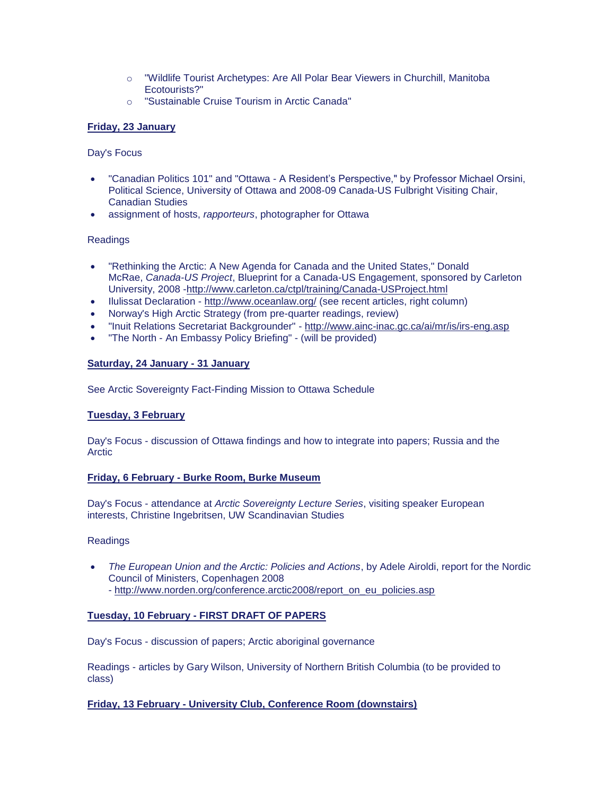- o "Wildlife Tourist Archetypes: Are All Polar Bear Viewers in Churchill, Manitoba Ecotourists?"
- o "Sustainable Cruise Tourism in Arctic Canada"

# **Friday, 23 January**

# Day's Focus

- "Canadian Politics 101" and "Ottawa A Resident's Perspective," by Professor Michael Orsini, Political Science, University of Ottawa and 2008-09 Canada-US Fulbright Visiting Chair, Canadian Studies
- assignment of hosts, *rapporteurs*, photographer for Ottawa

# Readings

- "Rethinking the Arctic: A New Agenda for Canada and the United States," Donald McRae, *Canada-US Project*, Blueprint for a Canada-US Engagement, sponsored by Carleton University, 2008 [-http://www.carleton.ca/ctpl/training/Canada-USProject.html](http://www.carleton.ca/ctpl/training/Canada-USProject.html)
- Ilulissat Declaration <http://www.oceanlaw.org/> (see recent articles, right column)
- Norway's High Arctic Strategy (from pre-quarter readings, review)
- "Inuit Relations Secretariat Backgrounder" <http://www.ainc-inac.gc.ca/ai/mr/is/irs-eng.asp>
- "The North An Embassy Policy Briefing" (will be provided)

# **Saturday, 24 January - 31 January**

See Arctic Sovereignty Fact-Finding Mission to Ottawa Schedule

# **Tuesday, 3 February**

Day's Focus - discussion of Ottawa findings and how to integrate into papers; Russia and the Arctic

# **Friday, 6 February - Burke Room, Burke Museum**

Day's Focus - attendance at *Arctic Sovereignty Lecture Series*, visiting speaker European interests, Christine Ingebritsen, UW Scandinavian Studies

# Readings

- *The European Union and the Arctic: Policies and Actions*, by Adele Airoldi, report for the Nordic Council of Ministers, Copenhagen 2008
	- [http://www.norden.org/conference.arctic2008/report\\_on\\_eu\\_policies.asp](http://www.norden.org/conference.arctic2008/report_on_eu_policies.asp)

# **Tuesday, 10 February - FIRST DRAFT OF PAPERS**

Day's Focus - discussion of papers; Arctic aboriginal governance

Readings - articles by Gary Wilson, University of Northern British Columbia (to be provided to class)

# **Friday, 13 February - University Club, Conference Room (downstairs)**